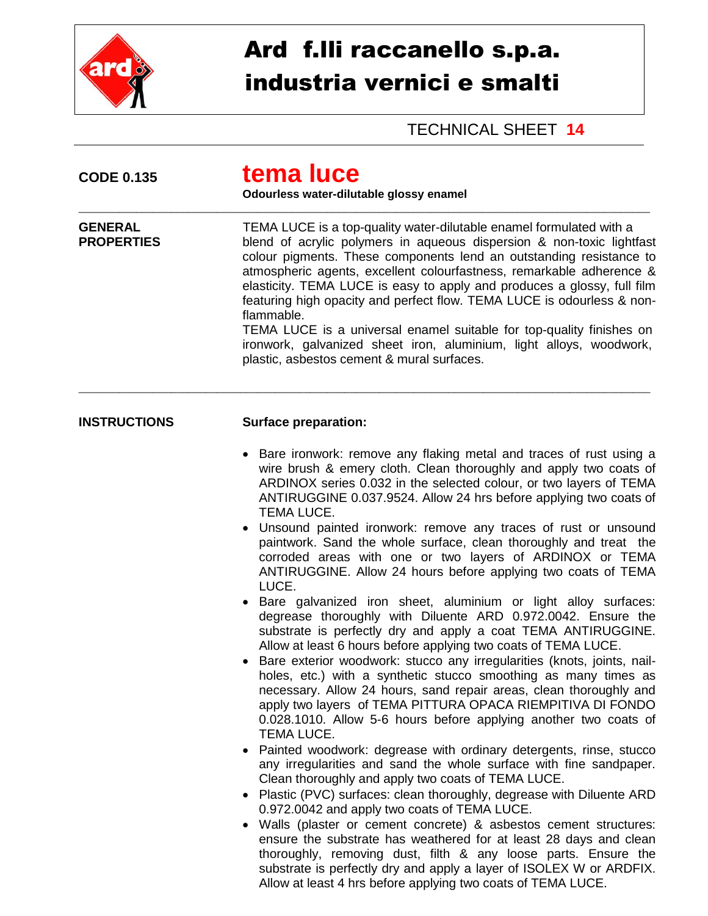

## Ard f.lli raccanello s.p.a. industria vernici e smalti

## TECHNICAL SHEET **14**

| <b>CODE 0.135</b>                   | tema luce<br>Odourless water-dilutable glossy enamel<br>TEMA LUCE is a top-quality water-dilutable enamel formulated with a<br>blend of acrylic polymers in aqueous dispersion & non-toxic lightfast<br>colour pigments. These components lend an outstanding resistance to<br>atmospheric agents, excellent colourfastness, remarkable adherence &<br>elasticity. TEMA LUCE is easy to apply and produces a glossy, full film<br>featuring high opacity and perfect flow. TEMA LUCE is odourless & non-<br>flammable.<br>TEMA LUCE is a universal enamel suitable for top-quality finishes on<br>ironwork, galvanized sheet iron, aluminium, light alloys, woodwork,<br>plastic, asbestos cement & mural surfaces.                                                                                                                                                                                                                                                                                                                                                                                                                                                                                                                                                                                                                                                                                                                                                                                                                                                                                                                                                                                                                                                                                                                                                                                                 |  |  |
|-------------------------------------|---------------------------------------------------------------------------------------------------------------------------------------------------------------------------------------------------------------------------------------------------------------------------------------------------------------------------------------------------------------------------------------------------------------------------------------------------------------------------------------------------------------------------------------------------------------------------------------------------------------------------------------------------------------------------------------------------------------------------------------------------------------------------------------------------------------------------------------------------------------------------------------------------------------------------------------------------------------------------------------------------------------------------------------------------------------------------------------------------------------------------------------------------------------------------------------------------------------------------------------------------------------------------------------------------------------------------------------------------------------------------------------------------------------------------------------------------------------------------------------------------------------------------------------------------------------------------------------------------------------------------------------------------------------------------------------------------------------------------------------------------------------------------------------------------------------------------------------------------------------------------------------------------------------------|--|--|
| <b>GENERAL</b><br><b>PROPERTIES</b> |                                                                                                                                                                                                                                                                                                                                                                                                                                                                                                                                                                                                                                                                                                                                                                                                                                                                                                                                                                                                                                                                                                                                                                                                                                                                                                                                                                                                                                                                                                                                                                                                                                                                                                                                                                                                                                                                                                                     |  |  |
| <b>INSTRUCTIONS</b>                 | <b>Surface preparation:</b>                                                                                                                                                                                                                                                                                                                                                                                                                                                                                                                                                                                                                                                                                                                                                                                                                                                                                                                                                                                                                                                                                                                                                                                                                                                                                                                                                                                                                                                                                                                                                                                                                                                                                                                                                                                                                                                                                         |  |  |
|                                     | Bare ironwork: remove any flaking metal and traces of rust using a<br>wire brush & emery cloth. Clean thoroughly and apply two coats of<br>ARDINOX series 0.032 in the selected colour, or two layers of TEMA<br>ANTIRUGGINE 0.037.9524. Allow 24 hrs before applying two coats of<br>TEMA LUCE.<br>• Unsound painted ironwork: remove any traces of rust or unsound<br>paintwork. Sand the whole surface, clean thoroughly and treat the<br>corroded areas with one or two layers of ARDINOX or TEMA<br>ANTIRUGGINE. Allow 24 hours before applying two coats of TEMA<br>LUCE.<br>Bare galvanized iron sheet, aluminium or light alloy surfaces:<br>degrease thoroughly with Diluente ARD 0.972.0042. Ensure the<br>substrate is perfectly dry and apply a coat TEMA ANTIRUGGINE.<br>Allow at least 6 hours before applying two coats of TEMA LUCE.<br>Bare exterior woodwork: stucco any irregularities (knots, joints, nail-<br>holes, etc.) with a synthetic stucco smoothing as many times as<br>necessary. Allow 24 hours, sand repair areas, clean thoroughly and<br>apply two layers of TEMA PITTURA OPACA RIEMPITIVA DI FONDO<br>0.028.1010. Allow 5-6 hours before applying another two coats of<br>TEMA LUCE.<br>• Painted woodwork: degrease with ordinary detergents, rinse, stucco<br>any irregularities and sand the whole surface with fine sandpaper.<br>Clean thoroughly and apply two coats of TEMA LUCE.<br>Plastic (PVC) surfaces: clean thoroughly, degrease with Diluente ARD<br>0.972.0042 and apply two coats of TEMA LUCE.<br>Walls (plaster or cement concrete) & asbestos cement structures:<br>$\bullet$<br>ensure the substrate has weathered for at least 28 days and clean<br>thoroughly, removing dust, filth & any loose parts. Ensure the<br>substrate is perfectly dry and apply a layer of ISOLEX W or ARDFIX.<br>Allow at least 4 hrs before applying two coats of TEMA LUCE. |  |  |